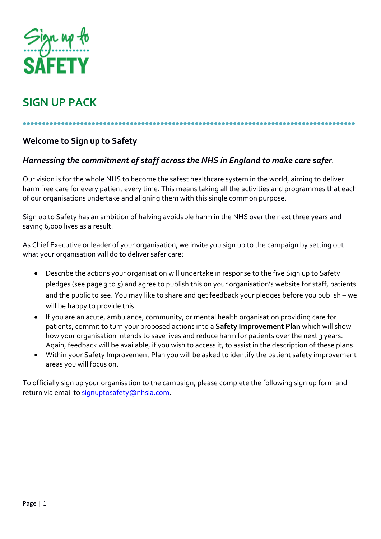

# **SIGN UP PACK**

### 

### **Welcome to Sign up to Safety**

## *Harnessing the commitment of staff across the NHS in England to make care safer.*

Our vision is for the whole NHS to become the safest healthcare system in the world, aiming to deliver harm free care for every patient every time. This means taking all the activities and programmes that each of our organisations undertake and aligning them with this single common purpose.

Sign up to Safety has an ambition of halving avoidable harm in the NHS over the next three years and saving 6,000 lives as a result.

As Chief Executive or leader of your organisation, we invite you sign up to the campaign by setting out what your organisation will do to deliver safer care:

- Describe the actions your organisation will undertake in response to the five Sign up to Safety pledges (see page 3 to 5) and agree to publish this on your organisation's website for staff, patients and the public to see. You may like to share and get feedback your pledges before you publish – we will be happy to provide this.
- If you are an acute, ambulance, community, or mental health organisation providing care for patients, commit to turn your proposed actions into a **Safety Improvement Plan** which will show how your organisation intends to save lives and reduce harm for patients over the next 3 years. Again, feedback will be available, if you wish to access it, to assist in the description of these plans.
- Within your Safety Improvement Plan you will be asked to identify the patient safety improvement areas you will focus on.

To officially sign up your organisation to the campaign, please complete the following sign up form and return via email to [signuptosafety@nhsla.com.](mailto:signuptosafety@nhsla.com)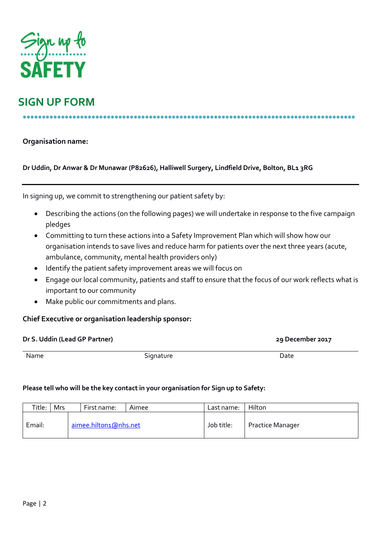

## **SIGN UP FORM**

**Organisation name:** 

**Dr Uddin, Dr Anwar & Dr Munawar (P82626), Halliwell Surgery, Lindfield Drive, Bolton, BL1 3RG**

In signing up, we commit to strengthening our patient safety by:

- Describing the actions (on the following pages) we will undertake in response to the five campaign pledges
- Committing to turn these actions into a Safety Improvement Plan which will show how our organisation intends to save lives and reduce harm for patients over the next three years (acute, ambulance, community, mental health providers only)
- Identify the patient safety improvement areas we will focus on
- Engage our local community, patients and staff to ensure that the focus of our work reflects what is important to our community
- Make public our commitments and plans.

#### **Chief Executive or organisation leadership sponsor:**

| Dr S. Uddin (Lead GP Partner) |           | 29 December 2017 |
|-------------------------------|-----------|------------------|
| Name                          | Signature | Date             |

#### **Please tell who will be the key contact in your organisation for Sign up to Safety:**

| Title: Mrs                      |  | First name: | Aimee                   | Last name: | Hilton |
|---------------------------------|--|-------------|-------------------------|------------|--------|
| aimee.hilton1@nhs.net<br>Email: |  | Job title:  | <b>Practice Manager</b> |            |        |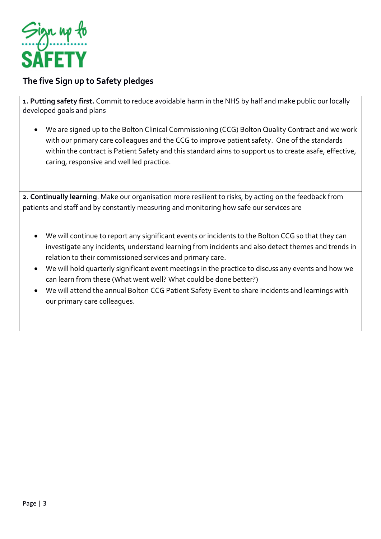

### **The five Sign up to Safety pledges**

**1. Putting safety first.** Commit to reduce avoidable harm in the NHS by half and make public our locally developed goals and plans

 We are signed up to the Bolton Clinical Commissioning (CCG) Bolton Quality Contract and we work with our primary care colleagues and the CCG to improve patient safety. One of the standards within the contract is Patient Safety and this standard aims to support us to create asafe, effective, caring, responsive and well led practice.

**2. Continually learning**. Make our organisation more resilient to risks, by acting on the feedback from patients and staff and by constantly measuring and monitoring how safe our services are

- We will continue to report any significant events or incidents to the Bolton CCG so that they can investigate any incidents, understand learning from incidents and also detect themes and trends in relation to their commissioned services and primary care.
- We will hold quarterly significant event meetings in the practice to discuss any events and how we can learn from these (What went well? What could be done better?)
- We will attend the annual Bolton CCG Patient Safety Event to share incidents and learnings with our primary care colleagues.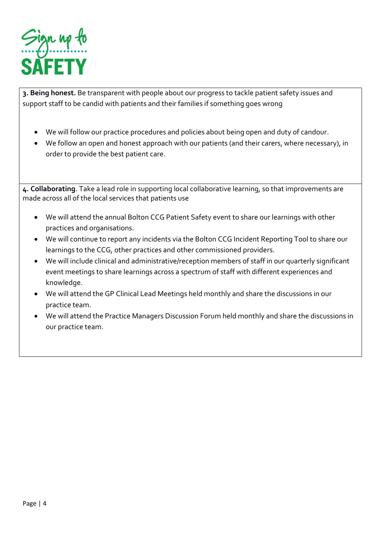

**3. Being honest.** Be transparent with people about our progress to tackle patient safety issues and support staff to be candid with patients and their families if something goes wrong

- We will follow our practice procedures and policies about being open and duty of candour.
- We follow an open and honest approach with our patients (and their carers, where necessary), in order to provide the best patient care.

**4. Collaborating**. Take a lead role in supporting local collaborative learning, so that improvements are made across all of the local services that patients use

- We will attend the annual Bolton CCG Patient Safety event to share our learnings with other practices and organisations.
- We will continue to report any incidents via the Bolton CCG Incident Reporting Tool to share our learnings to the CCG, other practices and other commissioned providers.
- We will include clinical and administrative/reception members of staff in our quarterly significant event meetings to share learnings across a spectrum of staff with different experiences and knowledge.
- We will attend the GP Clinical Lead Meetings held monthly and share the discussions in our practice team.
- We will attend the Practice Managers Discussion Forum held monthly and share the discussions in our practice team.